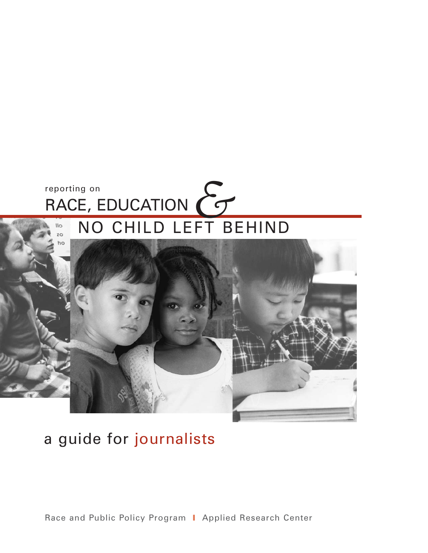### *&*reporting on RACE, EDUCATION NO CHILD LEFT BEHIND  $\overline{\mathsf{II}}$  $\overline{20}$



# a guide for journalists

Race and Public Policy Program | Applied Research Center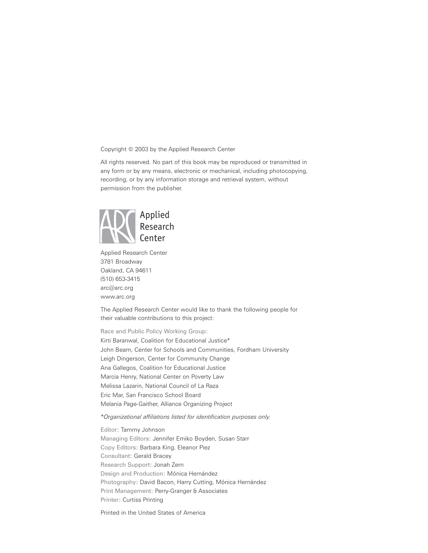Copyright © 2003 by the Applied Research Center

All rights reserved. No part of this book may be reproduced or transmitted in any form or by any means, electronic or mechanical, including photocopying, recording, or by any information storage and retrieval system, without permission from the publisher.



Applied Research Center 3781 Broadway Oakland, CA 94611 (510) 653-3415 arc@arc.org [www.arc.org](http://www.arc.org/)

The Applied Research Center would like to thank the following people for their valuable contributions to this project:

Race and Public Policy Working Group: Kirti Baranwal, Coalition for Educational Justice\* John Beam, Center for Schools and Communities, Fordham University Leigh Dingerson, Center for Community Change Ana Gallegos, Coalition for Educational Justice Marcia Henry, National Center on Poverty Law Melissa Lazarin, National Council of La Raza Eric Mar, San Francisco School Board Melania Page-Gaither, Alliance Organizing Project

*\*Organizational affiliations listed for identification purposes only.*

Editor: Tammy Johnson Managing Editors: Jennifer Emiko Boyden, Susan Starr Copy Editors: Barbara King, Eleanor Piez Consultant: Gerald Bracey Research Support: Jonah Zern Design and Production: Mónica Hernández Photography: David Bacon, Harry Cutting, Mónica Hernández Print Management: Perry-Granger & Associates Printer: Curtiss Printing

Printed in the United States of America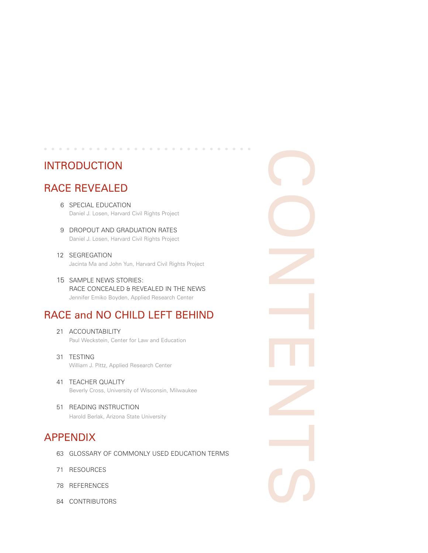## INTRODUCTION

## RACE REVEALED

6 SPECIAL EDUCATION Daniel J. Losen, Harvard Civil Rights Project

. . . . . . . . . . . . . . . . .

- 9 DROPOUT AND GRADUATION RATES Daniel J. Losen, Harvard Civil Rights Project
- 12 SEGREGATION Jacinta Ma and John Yun, Harvard Civil Rights Project
- 15 SAMPLE NEWS STORIES: RACE CONCEALED & REVEALED IN THE NEWS Jennifer Emiko Boyden, Applied Research Center

## RACE and NO CHILD LEFT BEHIND

CONTENTS

- 21 ACCOUNTABILITY Paul Weckstein, Center for Law and Education
- 31 TESTING William J. Pittz, Applied Research Center
- 41 TEACHER QUALITY Beverly Cross, University of Wisconsin, Milwaukee
- 51 READING INSTRUCTION Harold Berlak, Arizona State University

## APPENDIX

- 63 GLOSSARY OF COMMONLY USED EDUCATION TERMS
- 71 RESOURCES
- 78 REFERENCES
- 84 CONTRIBUTORS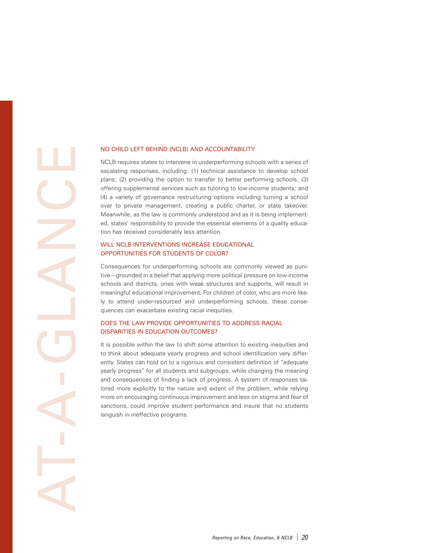**AT-A-GLANCE** 

#### NO CHILD LEFT BEHIND (NCLB) AND ACCOUNTABILITY

NCLB requires states to intervene in underperforming schools with a series of escalating responses, including: (1) technical assistance to develop school plans; (2) providing the option to transfer to better performing schools; (3) offering supplemental services such as tutoring to low-income students; and (4) a variety of governance restructuring options including turning a school over to private management, creating a public charter, or state takeover. Meanwhile, as the law is commonly understood and as it is being implemented, states' responsibility to provide the essential elements of a quality education has received considerably less attention.

#### WILL NCLB INTERVENTIONS INCREASE EDUCATIONAL OPPORTUNITIES FOR STUDENTS OF COLOR?

Consequences for underperforming schools are commonly viewed as punitive—grounded in a belief that applying more political pressure on low-income schools and districts, ones with weak structures and supports, will result in meaningful educational improvement. For children of color, who are more likely to attend under-resourced and underperforming schools, these consequences can exacerbate existing racial inequities.

#### DOES THE LAW PROVIDE OPPORTUNITIES TO ADDRESS RACIAL DISPARITIES IN EDUCATION OUTCOMES?

It is possible within the law to shift some attention to existing inequities and to think about adequate yearly progress and school identification very differently. States can hold on to a rigorous and consistent definition of "adequate yearly progress" for all students and subgroups, while changing the meaning and consequences of finding a lack of progress. A system of responses tailored more explicitly to the nature and extent of the problem, while relying more on encouraging continuous improvement and less on stigma and fear of sanctions, could improve student performance and insure that no students languish in ineffective programs.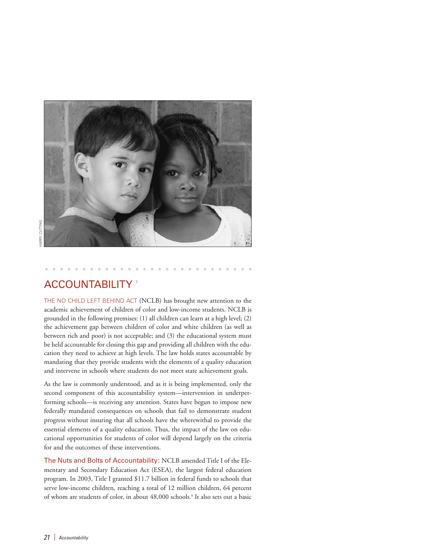

## **ACCOUNTABILITY**

THE NO CHILD LEFT BEHIND ACT (NCLB) has brought new attention to the academic achievement of children of color and low-income students. NCLB is grounded in the following premises: (1) all children can learn at a high level; (2) the achievement gap between children of color and white children (as well as between rich and poor) is not acceptable; and (3) the educational system must be held accountable for closing this gap and providing all children with the education they need to achieve at high levels. The law holds states accountable by mandating that they provide students with the elements of a quality education and intervene in schools where students do not meet state achievement goals.

As the law is commonly understood, and as it is being implemented, only the second component of this accountability system—intervention in underperforming schools—is receiving any attention. States have begun to impose new federally mandated consequences on schools that fail to demonstrate student progress without insuring that all schools have the wherewithal to provide the essential elements of a quality education. Thus, the impact of the law on educational opportunities for students of color will depend largely on the criteria for and the outcomes of these interventions.

The Nuts and Bolts of Accountability: NCLB amended Title I of the Elementary and Secondary Education Act (ESEA), the largest federal education program. In 2003, Title I granted \$11.7 billion in federal funds to schools that serve low-income children, reaching a total of 12 million children, 64 percent of whom are students of color, in about 48,000 schools.8 It also sets out a basic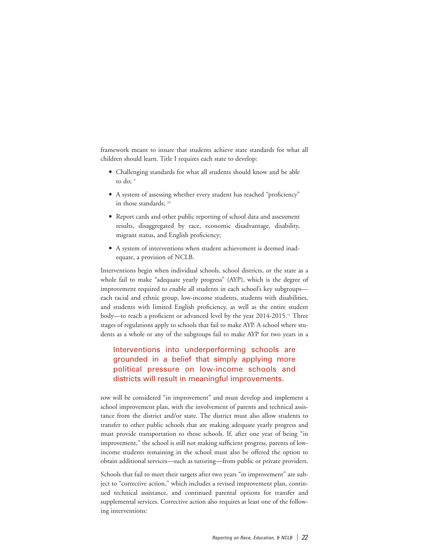framework meant to insure that students achieve state standards for what all children should learn. Title I requires each state to develop:

- Challenging standards for what all students should know and be able to do: 9
- A system of assessing whether every student has reached "proficiency" in those standards; 10
- Report cards and other public reporting of school data and assessment results, disaggregated by race, economic disadvantage, disability, migrant status, and English proficiency;
- A system of interventions when student achievement is deemed inadequate, a provision of NCLB.

Interventions begin when individual schools, school districts, or the state as a whole fail to make "adequate yearly progress" (AYP), which is the degree of improvement required to enable all students in each school's key subgroups each racial and ethnic group, low-income students, students with disabilities, and students with limited English proficiency, as well as the entire student body—to reach a proficient or advanced level by the year 2014-2015.<sup>11</sup> Three stages of regulations apply to schools that fail to make AYP. A school where students as a whole or any of the subgroups fail to make AYP for two years in a

Interventions into underperforming schools are grounded in a belief that simply applying more political pressure on low-income schools and districts will result in meaningful improvements.

row will be considered "in improvement" and must develop and implement a school improvement plan, with the involvement of parents and technical assistance from the district and/or state. The district must also allow students to transfer to other public schools that are making adequate yearly progress and must provide transportation to those schools. If, after one year of being "in improvement," the school is still not making sufficient progress, parents of lowincome students remaining in the school must also be offered the option to obtain additional services—such as tutoring—from public or private providers.

Schools that fail to meet their targets after two years "in improvement" are subject to "corrective action," which includes a revised improvement plan, continued technical assistance, and continued parental options for transfer and supplemental services. Corrective action also requires at least one of the following interventions: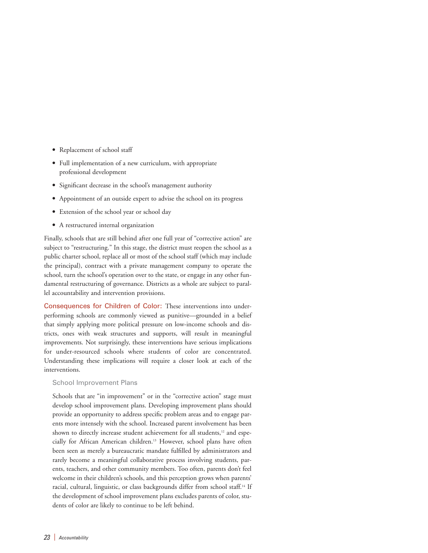- Replacement of school staff
- Full implementation of a new curriculum, with appropriate professional development
- Significant decrease in the school's management authority
- Appointment of an outside expert to advise the school on its progress
- Extension of the school year or school day
- A restructured internal organization

Finally, schools that are still behind after one full year of "corrective action" are subject to "restructuring." In this stage, the district must reopen the school as a public charter school, replace all or most of the school staff (which may include the principal), contract with a private management company to operate the school, turn the school's operation over to the state, or engage in any other fundamental restructuring of governance. Districts as a whole are subject to parallel accountability and intervention provisions.

Consequences for Children of Color: These interventions into underperforming schools are commonly viewed as punitive—grounded in a belief that simply applying more political pressure on low-income schools and districts, ones with weak structures and supports, will result in meaningful improvements. Not surprisingly, these interventions have serious implications for under-resourced schools where students of color are concentrated. Understanding these implications will require a closer look at each of the interventions.

#### School Improvement Plans

Schools that are "in improvement" or in the "corrective action" stage must develop school improvement plans. Developing improvement plans should provide an opportunity to address specific problem areas and to engage parents more intensely with the school. Increased parent involvement has been shown to directly increase student achievement for all students,<sup>12</sup> and especially for African American children.<sup>13</sup> However, school plans have often been seen as merely a bureaucratic mandate fulfilled by administrators and rarely become a meaningful collaborative process involving students, parents, teachers, and other community members. Too often, parents don't feel welcome in their children's schools, and this perception grows when parents' racial, cultural, linguistic, or class backgrounds differ from school staff.<sup>14</sup> If the development of school improvement plans excludes parents of color, students of color are likely to continue to be left behind.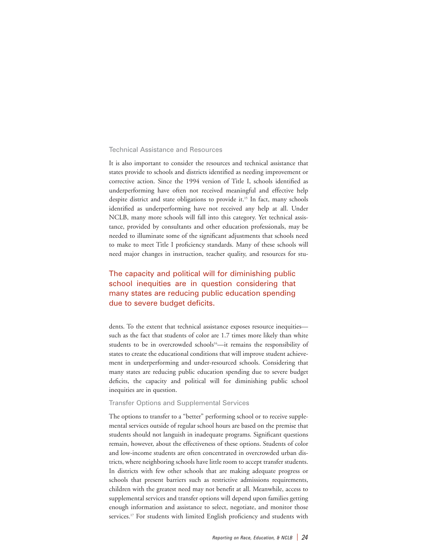#### Technical Assistance and Resources

It is also important to consider the resources and technical assistance that states provide to schools and districts identified as needing improvement or corrective action. Since the 1994 version of Title I, schools identified as underperforming have often not received meaningful and effective help despite district and state obligations to provide it.<sup>15</sup> In fact, many schools identified as underperforming have not received any help at all. Under NCLB, many more schools will fall into this category. Yet technical assistance, provided by consultants and other education professionals, may be needed to illuminate some of the significant adjustments that schools need to make to meet Title I proficiency standards. Many of these schools will need major changes in instruction, teacher quality, and resources for stu-

### The capacity and political will for diminishing public school inequities are in question considering that many states are reducing public education spending due to severe budget deficits.

dents. To the extent that technical assistance exposes resource inequities such as the fact that students of color are 1.7 times more likely than white students to be in overcrowded schools<sup>16</sup>—it remains the responsibility of states to create the educational conditions that will improve student achievement in underperforming and under-resourced schools. Considering that many states are reducing public education spending due to severe budget deficits, the capacity and political will for diminishing public school inequities are in question.

#### Transfer Options and Supplemental Services

The options to transfer to a "better" performing school or to receive supplemental services outside of regular school hours are based on the premise that students should not languish in inadequate programs. Significant questions remain, however, about the effectiveness of these options. Students of color and low-income students are often concentrated in overcrowded urban districts, where neighboring schools have little room to accept transfer students. In districts with few other schools that are making adequate progress or schools that present barriers such as restrictive admissions requirements, children with the greatest need may not benefit at all. Meanwhile, access to supplemental services and transfer options will depend upon families getting enough information and assistance to select, negotiate, and monitor those services.<sup>17</sup> For students with limited English proficiency and students with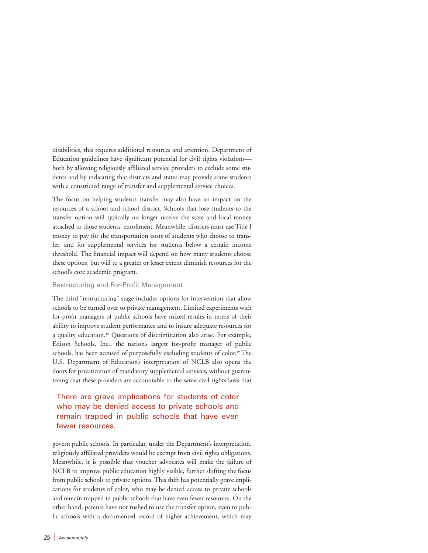disabilities, this requires additional resources and attention. Department of Education guidelines have significant potential for civil rights violations both by allowing religiously affiliated service providers to exclude some students and by indicating that districts and states may provide some students with a constricted range of transfer and supplemental service choices.

The focus on helping students transfer may also have an impact on the resources of a school and school district. Schools that lose students to the transfer option will typically no longer receive the state and local money attached to those students' enrollment. Meanwhile, districts must use Title I money to pay for the transportation costs of students who choose to transfer, and for supplemental services for students below a certain income threshold. The financial impact will depend on how many students choose these options, but will to a greater or lesser extent diminish resources for the school's core academic program.

#### Restructuring and For-Profit Management

The third "restructuring" stage includes options for intervention that allow schools to be turned over to private management. Limited experiments with for-profit managers of public schools have mixed results in terms of their ability to improve student performance and to insure adequate resources for a quality education.18 Questions of discrimination also arise. For example, Edison Schools, Inc., the nation's largest for-profit manager of public schools, has been accused of purposefully excluding students of color.<sup>19</sup> The U.S. Department of Education's interpretation of NCLB also opens the doors for privatization of mandatory supplemental services, without guaranteeing that these providers are accountable to the same civil rights laws that

### There are grave implications for students of color who may be denied access to private schools and remain trapped in public schools that have even fewer resources.

govern public schools. In particular, under the Department's interpretation, religiously affiliated providers would be exempt from civil rights obligations. Meanwhile, it is possible that voucher advocates will make the failure of NCLB to improve public education highly visible, further shifting the focus from public schools to private options. This shift has potentially grave implications for students of color, who may be denied access to private schools and remain trapped in public schools that have even fewer resources. On the other hand, parents have not rushed to use the transfer option, even to public schools with a documented record of higher achievement, which may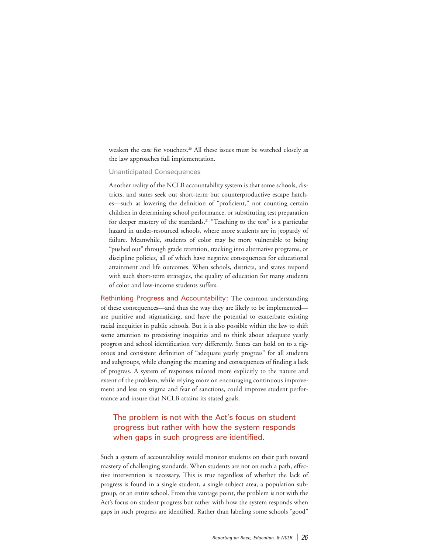weaken the case for vouchers.<sup>20</sup> All these issues must be watched closely as the law approaches full implementation.

#### Unanticipated Consequences

Another reality of the NCLB accountability system is that some schools, districts, and states seek out short-term but counterproductive escape hatches—such as lowering the definition of "proficient," not counting certain children in determining school performance, or substituting test preparation for deeper mastery of the standards.<sup>21</sup> "Teaching to the test" is a particular hazard in under-resourced schools, where more students are in jeopardy of failure. Meanwhile, students of color may be more vulnerable to being "pushed out" through grade retention, tracking into alternative programs, or discipline policies, all of which have negative consequences for educational attainment and life outcomes. When schools, districts, and states respond with such short-term strategies, the quality of education for many students of color and low-income students suffers.

Rethinking Progress and Accountability: The common understanding of these consequences—and thus the way they are likely to be implemented are punitive and stigmatizing, and have the potential to exacerbate existing racial inequities in public schools. But it is also possible within the law to shift some attention to preexisting inequities and to think about adequate yearly progress and school identification very differently. States can hold on to a rigorous and consistent definition of "adequate yearly progress" for all students and subgroups, while changing the meaning and consequences of finding a lack of progress. A system of responses tailored more explicitly to the nature and extent of the problem, while relying more on encouraging continuous improvement and less on stigma and fear of sanctions, could improve student performance and insure that NCLB attains its stated goals.

### The problem is not with the Act's focus on student progress but rather with how the system responds when gaps in such progress are identified.

Such a system of accountability would monitor students on their path toward mastery of challenging standards. When students are not on such a path, effective intervention is necessary. This is true regardless of whether the lack of progress is found in a single student, a single subject area, a population subgroup, or an entire school. From this vantage point, the problem is not with the Act's focus on student progress but rather with how the system responds when gaps in such progress are identified. Rather than labeling some schools "good"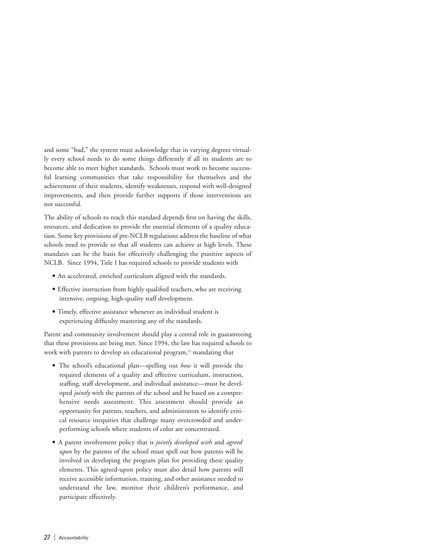and some "bad," the system must acknowledge that in varying degrees virtually every school needs to do some things differently if all its students are to become able to meet higher standards. Schools must work to become successful learning communities that take responsibility for themselves and the achievement of their students, identify weaknesses, respond with well-designed improvements, and then provide further supports if those interventions are not successful.

The ability of schools to reach this standard depends first on having the skills, resources, and dedication to provide the essential elements of a quality education. Some key provisions of pre-NCLB regulations address the baseline of what schools need to provide so that all students can achieve at high levels. These mandates can be the basis for effectively challenging the punitive aspects of NCLB. Since 1994, Title I has required schools to provide students with

- An accelerated, enriched curriculum aligned with the standards.
- Effective instruction from highly qualified teachers, who are receiving intensive, ongoing, high-quality staff development.
- Timely, effective assistance whenever an individual student is experiencing difficulty mastering any of the standards.

Parent and community involvement should play a central role in guaranteeing that these provisions are being met. Since 1994, the law has required schools to work with parents to develop an educational program, $22$  mandating that

- The school's educational plan—spelling out *how* it will provide the required elements of a quality and effective curriculum, instruction, staffing, staff development, and individual assistance—must be developed *jointly* with the parents of the school and be based on a comprehensive needs assessment. This assessment should provide an opportunity for parents, teachers, and administrators to identify critical resource inequities that challenge many overcrowded and underperforming schools where students of color are concentrated.
- A parent involvement policy that is *jointly developed with* and *agreed upon* by the parents of the school must spell out how parents will be involved in developing the program plan for providing these quality elements. This agreed-upon policy must also detail how parents will receive accessible information, training, and other assistance needed to understand the law, monitor their children's performance, and participate effectively.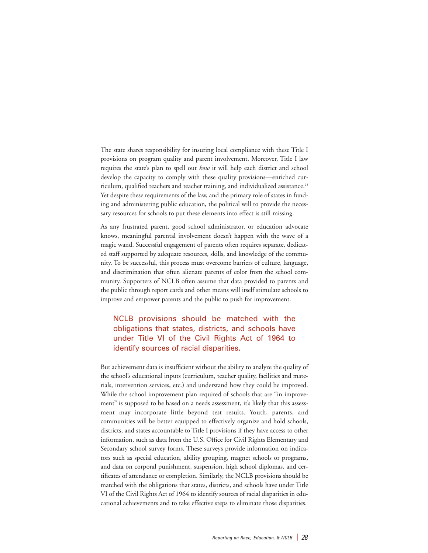The state shares responsibility for insuring local compliance with these Title I provisions on program quality and parent involvement. Moreover, Title I law requires the state's plan to spell out *how* it will help each district and school develop the capacity to comply with these quality provisions—enriched curriculum, qualified teachers and teacher training, and individualized assistance.<sup>23</sup> Yet despite these requirements of the law, and the primary role of states in funding and administering public education, the political will to provide the necessary resources for schools to put these elements into effect is still missing.

As any frustrated parent, good school administrator, or education advocate knows, meaningful parental involvement doesn't happen with the wave of a magic wand. Successful engagement of parents often requires separate, dedicated staff supported by adequate resources, skills, and knowledge of the community. To be successful, this process must overcome barriers of culture, language, and discrimination that often alienate parents of color from the school community. Supporters of NCLB often assume that data provided to parents and the public through report cards and other means will itself stimulate schools to improve and empower parents and the public to push for improvement.

### NCLB provisions should be matched with the obligations that states, districts, and schools have under Title VI of the Civil Rights Act of 1964 to identify sources of racial disparities.

But achievement data is insufficient without the ability to analyze the quality of the school's educational inputs (curriculum, teacher quality, facilities and materials, intervention services, etc.) and understand how they could be improved. While the school improvement plan required of schools that are "in improvement" is supposed to be based on a needs assessment, it's likely that this assessment may incorporate little beyond test results. Youth, parents, and communities will be better equipped to effectively organize and hold schools, districts, and states accountable to Title I provisions if they have access to other information, such as data from the U.S. Office for Civil Rights Elementary and Secondary school survey forms. These surveys provide information on indicators such as special education, ability grouping, magnet schools or programs, and data on corporal punishment, suspension, high school diplomas, and certificates of attendance or completion. Similarly, the NCLB provisions should be matched with the obligations that states, districts, and schools have under Title VI of the Civil Rights Act of 1964 to identify sources of racial disparities in educational achievements and to take effective steps to eliminate those disparities.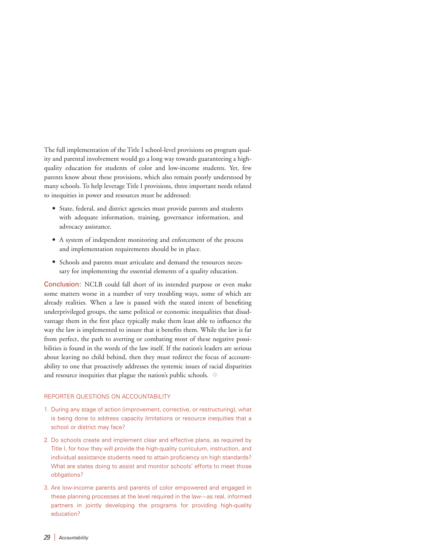The full implementation of the Title I school-level provisions on program quality and parental involvement would go a long way towards guaranteeing a highquality education for students of color and low-income students. Yet, few parents know about these provisions, which also remain poorly understood by many schools. To help leverage Title I provisions, three important needs related to inequities in power and resources must be addressed:

- State, federal, and district agencies must provide parents and students with adequate information, training, governance information, and advocacy assistance.
- A system of independent monitoring and enforcement of the process and implementation requirements should be in place.
- Schools and parents must articulate and demand the resources necessary for implementing the essential elements of a quality education.

Conclusion: NCLB could fall short of its intended purpose or even make some matters worse in a number of very troubling ways, some of which are already realities. When a law is passed with the stated intent of benefiting underprivileged groups, the same political or economic inequalities that disadvantage them in the first place typically make them least able to influence the way the law is implemented to insure that it benefits them. While the law is far from perfect, the path to averting or combating most of these negative possibilities is found in the words of the law itself. If the nation's leaders are serious about leaving no child behind, then they must redirect the focus of accountability to one that proactively addresses the systemic issues of racial disparities and resource inequities that plague the nation's public schools.  $\bigcirc$ 

#### REPORTER QUESTIONS ON ACCOUNTABILITY

- 1. During any stage of action (improvement, corrective, or restructuring), what is being done to address capacity limitations or resource inequities that a school or district may face?
- 2. Do schools create and implement clear and effective plans, as required by Title I, for how they will provide the high-quality curriculum, instruction, and individual assistance students need to attain proficiency on high standards? What are states doing to assist and monitor schools' efforts to meet those obligations?
- 3. Are low-income parents and parents of color empowered and engaged in these planning processes at the level required in the law—as real, informed partners in jointly developing the programs for providing high-quality education?